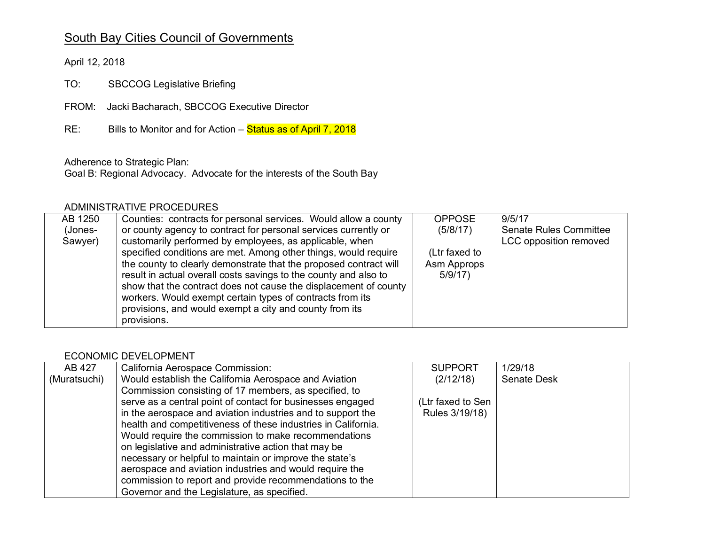# South Bay Cities Council of Governments

April 12, 2018

TO: SBCCOG Legislative Briefing

FROM: Jacki Bacharach, SBCCOG Executive Director

 $RE:$ Bills to Monitor and for Action – Status as of April 7, 2018

## Adherence to Strategic Plan:

Goal B: Regional Advocacy. Advocate for the interests of the South Bay

## ADMINISTRATIVE PROCEDURES

| AB 1250 | Counties: contracts for personal services. Would allow a county   | <b>OPPOSE</b> | 9/5/17                        |
|---------|-------------------------------------------------------------------|---------------|-------------------------------|
| (Jones- | or county agency to contract for personal services currently or   | (5/8/17)      | <b>Senate Rules Committee</b> |
| Sawyer) | customarily performed by employees, as applicable, when           |               | LCC opposition removed        |
|         | specified conditions are met. Among other things, would require   | (Ltr faxed to |                               |
|         | the county to clearly demonstrate that the proposed contract will | Asm Approps   |                               |
|         | result in actual overall costs savings to the county and also to  | 5/9/17        |                               |
|         | show that the contract does not cause the displacement of county  |               |                               |
|         | workers. Would exempt certain types of contracts from its         |               |                               |
|         | provisions, and would exempt a city and county from its           |               |                               |
|         | provisions.                                                       |               |                               |

#### ECONOMIC DEVELOPMENT

| AB 427       | California Aerospace Commission:                              | <b>SUPPORT</b>    | 1/29/18            |
|--------------|---------------------------------------------------------------|-------------------|--------------------|
| (Muratsuchi) | Would establish the California Aerospace and Aviation         | (2/12/18)         | <b>Senate Desk</b> |
|              | Commission consisting of 17 members, as specified, to         |                   |                    |
|              | serve as a central point of contact for businesses engaged    | (Ltr faxed to Sen |                    |
|              | in the aerospace and aviation industries and to support the   | Rules 3/19/18)    |                    |
|              | health and competitiveness of these industries in California. |                   |                    |
|              | Would require the commission to make recommendations          |                   |                    |
|              | on legislative and administrative action that may be          |                   |                    |
|              | necessary or helpful to maintain or improve the state's       |                   |                    |
|              | aerospace and aviation industries and would require the       |                   |                    |
|              | commission to report and provide recommendations to the       |                   |                    |
|              | Governor and the Legislature, as specified.                   |                   |                    |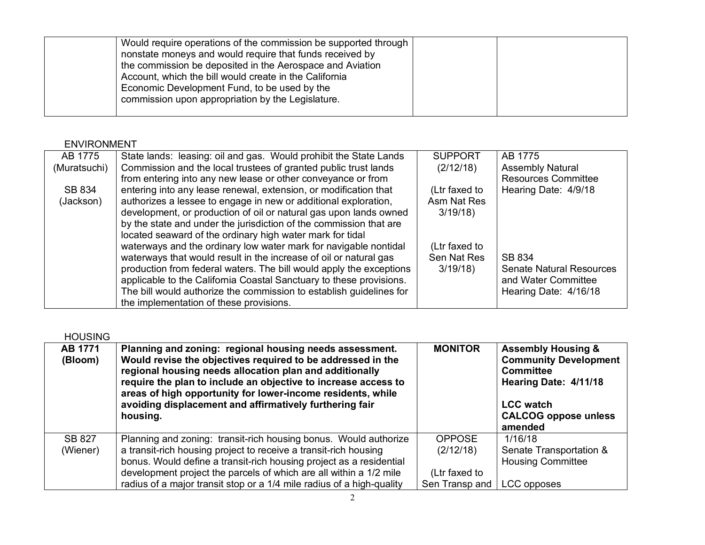# ENVIRONMENT

| AB 1775      | State lands: leasing: oil and gas. Would prohibit the State Lands   | <b>SUPPORT</b> | AB 1775                         |
|--------------|---------------------------------------------------------------------|----------------|---------------------------------|
| (Muratsuchi) | Commission and the local trustees of granted public trust lands     | (2/12/18)      | <b>Assembly Natural</b>         |
|              | from entering into any new lease or other conveyance or from        |                | <b>Resources Committee</b>      |
| SB 834       | entering into any lease renewal, extension, or modification that    | (Ltr faxed to  | Hearing Date: 4/9/18            |
| (Jackson)    | authorizes a lessee to engage in new or additional exploration,     | Asm Nat Res    |                                 |
|              | development, or production of oil or natural gas upon lands owned   | 3/19/18        |                                 |
|              | by the state and under the jurisdiction of the commission that are  |                |                                 |
|              | located seaward of the ordinary high water mark for tidal           |                |                                 |
|              | waterways and the ordinary low water mark for navigable nontidal    | (Ltr faxed to  |                                 |
|              | waterways that would result in the increase of oil or natural gas   | Sen Nat Res    | SB 834                          |
|              | production from federal waters. The bill would apply the exceptions | 3/19/18        | <b>Senate Natural Resources</b> |
|              | applicable to the California Coastal Sanctuary to these provisions. |                | and Water Committee             |
|              | The bill would authorize the commission to establish guidelines for |                | Hearing Date: 4/16/18           |
|              | the implementation of these provisions.                             |                |                                 |
|              |                                                                     |                |                                 |

| <b>HOUSING</b>            |                                                                                                                                                                                                                                                                                                                                                                                           |                                 |                                                                                                                                                                          |
|---------------------------|-------------------------------------------------------------------------------------------------------------------------------------------------------------------------------------------------------------------------------------------------------------------------------------------------------------------------------------------------------------------------------------------|---------------------------------|--------------------------------------------------------------------------------------------------------------------------------------------------------------------------|
| AB 1771<br>(Bloom)        | Planning and zoning: regional housing needs assessment.<br>Would revise the objectives required to be addressed in the<br>regional housing needs allocation plan and additionally<br>require the plan to include an objective to increase access to<br>areas of high opportunity for lower-income residents, while<br>avoiding displacement and affirmatively furthering fair<br>housing. | <b>MONITOR</b>                  | <b>Assembly Housing &amp;</b><br><b>Community Development</b><br><b>Committee</b><br>Hearing Date: 4/11/18<br><b>LCC</b> watch<br><b>CALCOG oppose unless</b><br>amended |
| <b>SB 827</b><br>(Wiener) | Planning and zoning: transit-rich housing bonus. Would authorize<br>a transit-rich housing project to receive a transit-rich housing<br>bonus. Would define a transit-rich housing project as a residential                                                                                                                                                                               | <b>OPPOSE</b><br>(2/12/18)      | 1/16/18<br>Senate Transportation &<br><b>Housing Committee</b>                                                                                                           |
|                           | development project the parcels of which are all within a 1/2 mile<br>radius of a major transit stop or a 1/4 mile radius of a high-quality                                                                                                                                                                                                                                               | (Ltr faxed to<br>Sen Transp and | LCC opposes                                                                                                                                                              |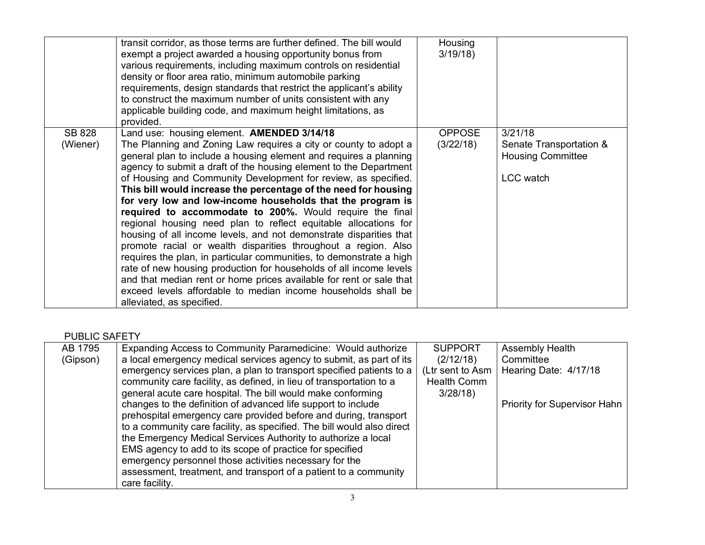|                           | transit corridor, as those terms are further defined. The bill would<br>exempt a project awarded a housing opportunity bonus from<br>various requirements, including maximum controls on residential<br>density or floor area ratio, minimum automobile parking<br>requirements, design standards that restrict the applicant's ability<br>to construct the maximum number of units consistent with any<br>applicable building code, and maximum height limitations, as<br>provided.                                                                                                                                                                                                                                                                                                                                                                                                                                                                                                                                                                 | Housing<br>3/19/18         |                                                                                    |
|---------------------------|------------------------------------------------------------------------------------------------------------------------------------------------------------------------------------------------------------------------------------------------------------------------------------------------------------------------------------------------------------------------------------------------------------------------------------------------------------------------------------------------------------------------------------------------------------------------------------------------------------------------------------------------------------------------------------------------------------------------------------------------------------------------------------------------------------------------------------------------------------------------------------------------------------------------------------------------------------------------------------------------------------------------------------------------------|----------------------------|------------------------------------------------------------------------------------|
| <b>SB 828</b><br>(Wiener) | Land use: housing element. AMENDED 3/14/18<br>The Planning and Zoning Law requires a city or county to adopt a<br>general plan to include a housing element and requires a planning<br>agency to submit a draft of the housing element to the Department<br>of Housing and Community Development for review, as specified.<br>This bill would increase the percentage of the need for housing<br>for very low and low-income households that the program is<br>required to accommodate to 200%. Would require the final<br>regional housing need plan to reflect equitable allocations for<br>housing of all income levels, and not demonstrate disparities that<br>promote racial or wealth disparities throughout a region. Also<br>requires the plan, in particular communities, to demonstrate a high<br>rate of new housing production for households of all income levels<br>and that median rent or home prices available for rent or sale that<br>exceed levels affordable to median income households shall be<br>alleviated, as specified. | <b>OPPOSE</b><br>(3/22/18) | 3/21/18<br>Senate Transportation &<br><b>Housing Committee</b><br><b>LCC</b> watch |

## PUBLIC SAFETY

| AB 1795  | Expanding Access to Community Paramedicine: Would authorize            | <b>SUPPORT</b>     | <b>Assembly Health</b>       |
|----------|------------------------------------------------------------------------|--------------------|------------------------------|
| (Gipson) | a local emergency medical services agency to submit, as part of its    | (2/12/18)          | Committee                    |
|          | emergency services plan, a plan to transport specified patients to a   | (Ltr sent to Asm   | Hearing Date: 4/17/18        |
|          | community care facility, as defined, in lieu of transportation to a    | <b>Health Comm</b> |                              |
|          | general acute care hospital. The bill would make conforming            | 3/28/18            |                              |
|          | changes to the definition of advanced life support to include          |                    | Priority for Supervisor Hahn |
|          | prehospital emergency care provided before and during, transport       |                    |                              |
|          | to a community care facility, as specified. The bill would also direct |                    |                              |
|          | the Emergency Medical Services Authority to authorize a local          |                    |                              |
|          | EMS agency to add to its scope of practice for specified               |                    |                              |
|          | emergency personnel those activities necessary for the                 |                    |                              |
|          | assessment, treatment, and transport of a patient to a community       |                    |                              |
|          | care facility.                                                         |                    |                              |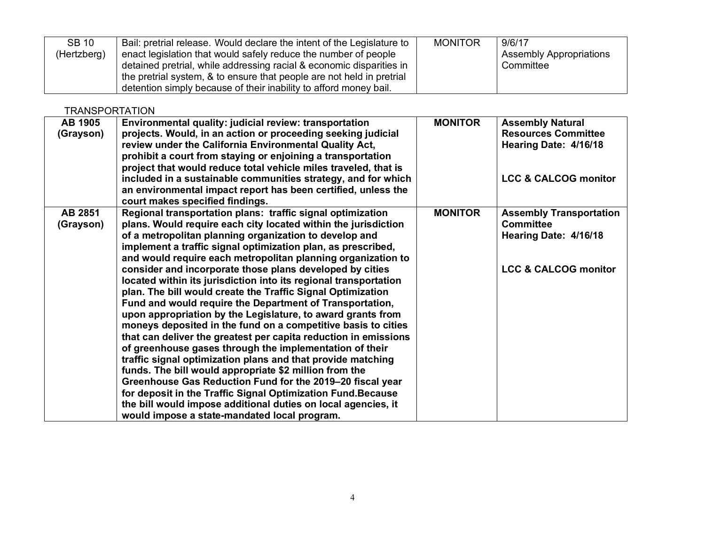| <b>SB 10</b> | Bail: pretrial release. Would declare the intent of the Legislature to | <b>MONITOR</b> | 9/6/17                         |
|--------------|------------------------------------------------------------------------|----------------|--------------------------------|
| (Hertzberg)  | enact legislation that would safely reduce the number of people        |                | <b>Assembly Appropriations</b> |
|              | detained pretrial, while addressing racial & economic disparities in   |                | Committee                      |
|              | the pretrial system, & to ensure that people are not held in pretrial  |                |                                |
|              | detention simply because of their inability to afford money bail.      |                |                                |

**TRANSPORTATION** 

| <b>AB 1905</b> | Environmental quality: judicial review: transportation           | <b>MONITOR</b> | <b>Assembly Natural</b>         |
|----------------|------------------------------------------------------------------|----------------|---------------------------------|
| (Grayson)      | projects. Would, in an action or proceeding seeking judicial     |                | <b>Resources Committee</b>      |
|                | review under the California Environmental Quality Act,           |                | Hearing Date: 4/16/18           |
|                | prohibit a court from staying or enjoining a transportation      |                |                                 |
|                | project that would reduce total vehicle miles traveled, that is  |                |                                 |
|                | included in a sustainable communities strategy, and for which    |                | <b>LCC &amp; CALCOG monitor</b> |
|                | an environmental impact report has been certified, unless the    |                |                                 |
|                | court makes specified findings.                                  |                |                                 |
| AB 2851        | Regional transportation plans: traffic signal optimization       | <b>MONITOR</b> | <b>Assembly Transportation</b>  |
| (Grayson)      | plans. Would require each city located within the jurisdiction   |                | <b>Committee</b>                |
|                | of a metropolitan planning organization to develop and           |                | Hearing Date: 4/16/18           |
|                | implement a traffic signal optimization plan, as prescribed,     |                |                                 |
|                | and would require each metropolitan planning organization to     |                |                                 |
|                | consider and incorporate those plans developed by cities         |                | <b>LCC &amp; CALCOG monitor</b> |
|                | located within its jurisdiction into its regional transportation |                |                                 |
|                | plan. The bill would create the Traffic Signal Optimization      |                |                                 |
|                | Fund and would require the Department of Transportation,         |                |                                 |
|                | upon appropriation by the Legislature, to award grants from      |                |                                 |
|                | moneys deposited in the fund on a competitive basis to cities    |                |                                 |
|                | that can deliver the greatest per capita reduction in emissions  |                |                                 |
|                | of greenhouse gases through the implementation of their          |                |                                 |
|                | traffic signal optimization plans and that provide matching      |                |                                 |
|                | funds. The bill would appropriate \$2 million from the           |                |                                 |
|                | Greenhouse Gas Reduction Fund for the 2019-20 fiscal year        |                |                                 |
|                | for deposit in the Traffic Signal Optimization Fund. Because     |                |                                 |
|                | the bill would impose additional duties on local agencies, it    |                |                                 |
|                | would impose a state-mandated local program.                     |                |                                 |